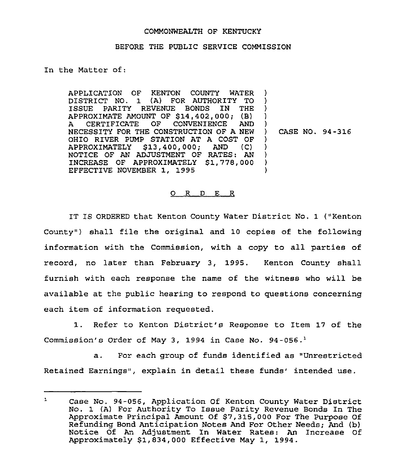## COMMONWEALTH OF KENTUCKY

## BEFORE THE PUBLIC SERVICE COMMISSION

In the Matter of:

APPLICATION OF KENTON COUNTY WATER DISTRICT NO. 1 (A) FOR AUTHORITY TO ISSUE PARITY REVENUE BONDS IN THE APPROXIMATE AMOUNT OF \$14,402,000; (B)<br>A CERTIFICATE OF CONVENIENCE AND CERTIFICATE OF A CERTIFICATE OF CONVENIENCE AND J<br>NECESSITY FOR THE CONSTRUCTION OF A NEW ) OHIO RIVER PUMP STATION AT A COST OF<br>APPROXIMATELY \$13.400.000: AND (C) APPROXIMATELY \$13,400,000; NOTICE OF AN ADJUSTMENT OF RATES: AN INCREASE OF APPROXIMATELY \$1,778,000 EFFECTIVE NOVEMBER 1, 1995 ) ) ) I ) ) ) )  $\lambda$ 

) CASE NO. 94-316

## O R D E R

IT IS ORDERED that Kenton County Water District No. 1 ("Kenton County") shall file the original and 10 copies of the following information with the Commission, with a copy to all parties of record, no later than February 3, 1995. Kenton County shall furnish with each response the name of the witness who will be available at the public hearing to respond to questions concerning each item of information requested.

1. Refer to Kenton District's Response to Item 17 of the Commission's Order of May 3, 1994 in Case No. 94-056.'.

For each group of funds identified as "Unrestricted  $\mathbf{a}$ . Retained Earnings", explain in detail these funds' intended use.

 $\mathbf{1}$ Case No. 94-056, Application Of Kenton County Water District No. 1 (A) For Authority To Issue Parity Revenue Bonds In The Approximate Principal Amount Of \$7,315,000 For The Purpose Of Refunding Bond Anticipation Notes And For Other Needs; And (b) Notice Of An Adjustment In Water Rates: An Increase Of Approximately \$1, 834, 000 Effective May 1, 1994 .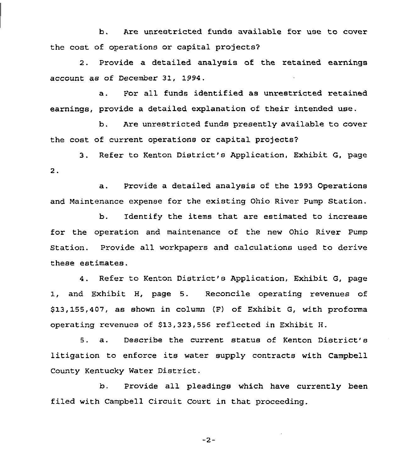b. Are unrestricted funds available for use to cover the cost of operations or capital projects?

2. Provide a detailed analysis of the retained earnings account as of December 31, 1994.

a. Por all funds identified as unrestricted retained earnings, provide a detailed explanation of their intended use.

b. Are unrestricted funds presently available to cover the cost of current operations or capital projects?

3. Refer to Kenton District's Application, Exhibit G, page  $2.$ 

a. Provide a detailed analysis of the 1993 Operations and Maintenance expense for the existing Ohio River Pump Station.

b. Identify the items that are estimated to increase for the operation and maintenance of the new Ohio River Pump Station. Provide all workpapers and calculations used to derive these estimates.

4. Refer to Kenton District's Application, Exhibit G, page 1, and Exhibit H, page 5. Reconcile operating revenues of \$13,155,407, as shown in column (F) of Exhibit G, with proforma operating revenues of \$13,323,556 reflected in Exhibit H.

5. a. Describe the current status of Kenton District's litigation to enforce its water supply contracts with Campbell County Kentucky Water District.

b. Provide all pleadings which have currently been filed with Campbell Circuit Court in that proceeding.

 $-2-$